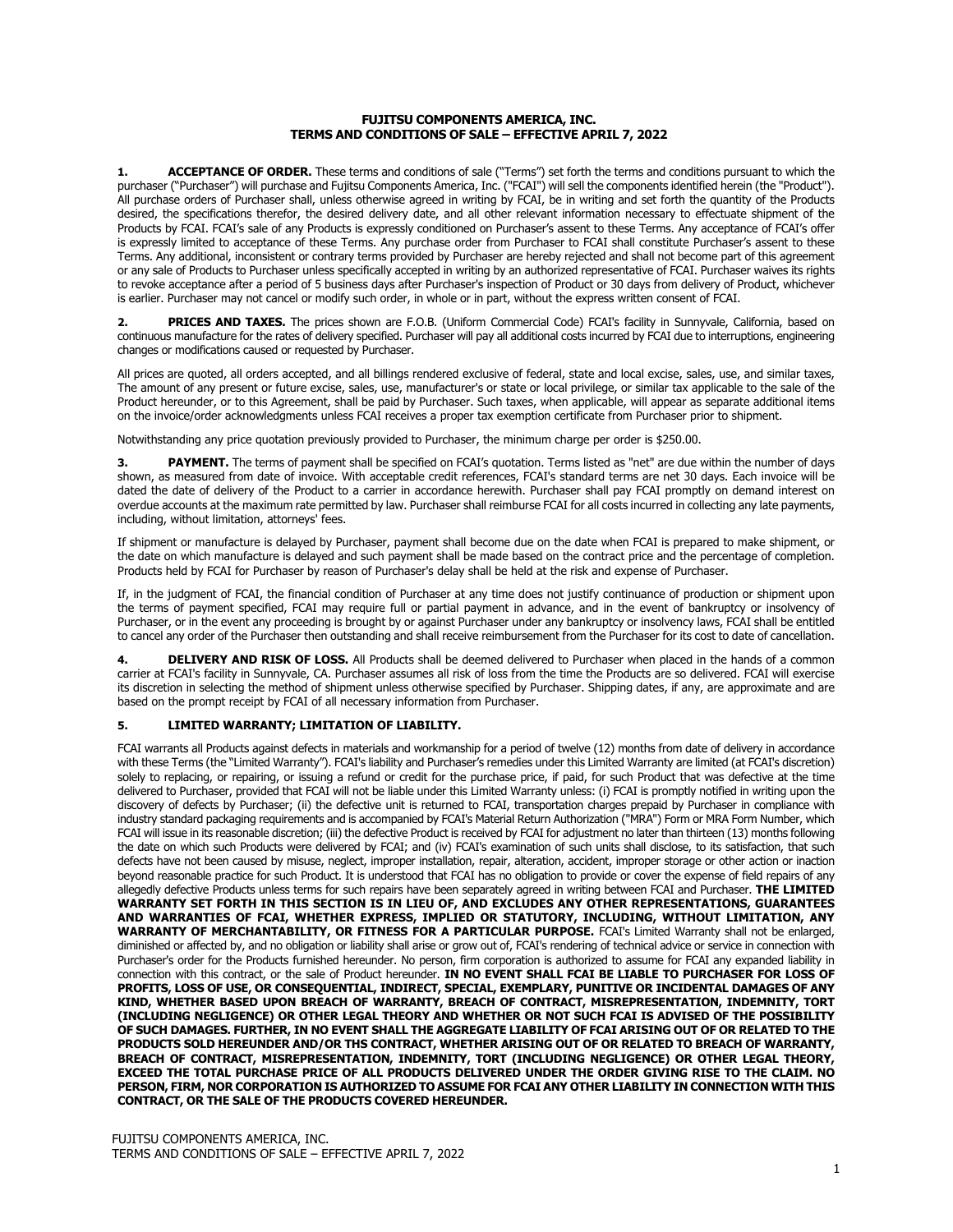## **FUJITSU COMPONENTS AMERICA, INC. TERMS AND CONDITIONS OF SALE – EFFECTIVE APRIL 7, 2022**

**1. ACCEPTANCE OF ORDER.** These terms and conditions of sale ("Terms") set forth the terms and conditions pursuant to which the purchaser ("Purchaser") will purchase and Fujitsu Components America, Inc. ("FCAI") will sell the components identified herein (the "Product"). All purchase orders of Purchaser shall, unless otherwise agreed in writing by FCAI, be in writing and set forth the quantity of the Products desired, the specifications therefor, the desired delivery date, and all other relevant information necessary to effectuate shipment of the Products by FCAI. FCAI's sale of any Products is expressly conditioned on Purchaser's assent to these Terms. Any acceptance of FCAI's offer is expressly limited to acceptance of these Terms. Any purchase order from Purchaser to FCAI shall constitute Purchaser's assent to these Terms. Any additional, inconsistent or contrary terms provided by Purchaser are hereby rejected and shall not become part of this agreement or any sale of Products to Purchaser unless specifically accepted in writing by an authorized representative of FCAI. Purchaser waives its rights to revoke acceptance after a period of 5 business days after Purchaser's inspection of Product or 30 days from delivery of Product, whichever is earlier. Purchaser may not cancel or modify such order, in whole or in part, without the express written consent of FCAI.

**2. PRICES AND TAXES.** The prices shown are F.O.B. (Uniform Commercial Code) FCAI's facility in Sunnyvale, California, based on continuous manufacture for the rates of delivery specified. Purchaser will pay all additional costs incurred by FCAI due to interruptions, engineering changes or modifications caused or requested by Purchaser.

All prices are quoted, all orders accepted, and all billings rendered exclusive of federal, state and local excise, sales, use, and similar taxes, The amount of any present or future excise, sales, use, manufacturer's or state or local privilege, or similar tax applicable to the sale of the Product hereunder, or to this Agreement, shall be paid by Purchaser. Such taxes, when applicable, will appear as separate additional items on the invoice/order acknowledgments unless FCAI receives a proper tax exemption certificate from Purchaser prior to shipment.

Notwithstanding any price quotation previously provided to Purchaser, the minimum charge per order is \$250.00.

**3. PAYMENT.** The terms of payment shall be specified on FCAI's quotation. Terms listed as "net" are due within the number of days shown, as measured from date of invoice. With acceptable credit references, FCAI's standard terms are net 30 days. Each invoice will be dated the date of delivery of the Product to a carrier in accordance herewith. Purchaser shall pay FCAI promptly on demand interest on overdue accounts at the maximum rate permitted by law. Purchaser shall reimburse FCAI for all costs incurred in collecting any late payments, including, without limitation, attorneys' fees.

If shipment or manufacture is delayed by Purchaser, payment shall become due on the date when FCAI is prepared to make shipment, or the date on which manufacture is delayed and such payment shall be made based on the contract price and the percentage of completion. Products held by FCAI for Purchaser by reason of Purchaser's delay shall be held at the risk and expense of Purchaser.

If, in the judgment of FCAI, the financial condition of Purchaser at any time does not justify continuance of production or shipment upon the terms of payment specified, FCAI may require full or partial payment in advance, and in the event of bankruptcy or insolvency of Purchaser, or in the event any proceeding is brought by or against Purchaser under any bankruptcy or insolvency laws, FCAI shall be entitled to cancel any order of the Purchaser then outstanding and shall receive reimbursement from the Purchaser for its cost to date of cancellation.

**4. DELIVERY AND RISK OF LOSS.** All Products shall be deemed delivered to Purchaser when placed in the hands of a common carrier at FCAI's facility in Sunnyvale, CA. Purchaser assumes all risk of loss from the time the Products are so delivered. FCAI will exercise its discretion in selecting the method of shipment unless otherwise specified by Purchaser. Shipping dates, if any, are approximate and are based on the prompt receipt by FCAI of all necessary information from Purchaser.

## **5. LIMITED WARRANTY; LIMITATION OF LIABILITY.**

FCAI warrants all Products against defects in materials and workmanship for a period of twelve (12) months from date of delivery in accordance with these Terms (the "Limited Warranty"). FCAI's liability and Purchaser's remedies under this Limited Warranty are limited (at FCAI's discretion) solely to replacing, or repairing, or issuing a refund or credit for the purchase price, if paid, for such Product that was defective at the time delivered to Purchaser, provided that FCAI will not be liable under this Limited Warranty unless: (i) FCAI is promptly notified in writing upon the discovery of defects by Purchaser; (ii) the defective unit is returned to FCAI, transportation charges prepaid by Purchaser in compliance with industry standard packaging requirements and is accompanied by FCAI's Material Return Authorization ("MRA") Form or MRA Form Number, which FCAI will issue in its reasonable discretion; (iii) the defective Product is received by FCAI for adjustment no later than thirteen (13) months following the date on which such Products were delivered by FCAI; and (iv) FCAI's examination of such units shall disclose, to its satisfaction, that such defects have not been caused by misuse, neglect, improper installation, repair, alteration, accident, improper storage or other action or inaction beyond reasonable practice for such Product. It is understood that FCAI has no obligation to provide or cover the expense of field repairs of any allegedly defective Products unless terms for such repairs have been separately agreed in writing between FCAI and Purchaser. **THE LIMITED WARRANTY SET FORTH IN THIS SECTION IS IN LIEU OF, AND EXCLUDES ANY OTHER REPRESENTATIONS, GUARANTEES AND WARRANTIES OF FCAI, WHETHER EXPRESS, IMPLIED OR STATUTORY, INCLUDING, WITHOUT LIMITATION, ANY WARRANTY OF MERCHANTABILITY, OR FITNESS FOR A PARTICULAR PURPOSE.** FCAI's Limited Warranty shall not be enlarged, diminished or affected by, and no obligation or liability shall arise or grow out of, FCAI's rendering of technical advice or service in connection with Purchaser's order for the Products furnished hereunder. No person, firm corporation is authorized to assume for FCAI any expanded liability in connection with this contract, or the sale of Product hereunder. **IN NO EVENT SHALL FCAI BE LIABLE TO PURCHASER FOR LOSS OF PROFITS, LOSS OF USE, OR CONSEQUENTIAL, INDIRECT, SPECIAL, EXEMPLARY, PUNITIVE OR INCIDENTAL DAMAGES OF ANY KIND, WHETHER BASED UPON BREACH OF WARRANTY, BREACH OF CONTRACT, MISREPRESENTATION, INDEMNITY, TORT (INCLUDING NEGLIGENCE) OR OTHER LEGAL THEORY AND WHETHER OR NOT SUCH FCAI IS ADVISED OF THE POSSIBILITY OF SUCH DAMAGES. FURTHER, IN NO EVENT SHALL THE AGGREGATE LIABILITY OF FCAI ARISING OUT OF OR RELATED TO THE PRODUCTS SOLD HEREUNDER AND/OR THS CONTRACT, WHETHER ARISING OUT OF OR RELATED TO BREACH OF WARRANTY, BREACH OF CONTRACT, MISREPRESENTATION, INDEMNITY, TORT (INCLUDING NEGLIGENCE) OR OTHER LEGAL THEORY, EXCEED THE TOTAL PURCHASE PRICE OF ALL PRODUCTS DELIVERED UNDER THE ORDER GIVING RISE TO THE CLAIM. NO PERSON, FIRM, NOR CORPORATION IS AUTHORIZED TO ASSUME FOR FCAI ANY OTHER LIABILITY IN CONNECTION WITH THIS CONTRACT, OR THE SALE OF THE PRODUCTS COVERED HEREUNDER.**